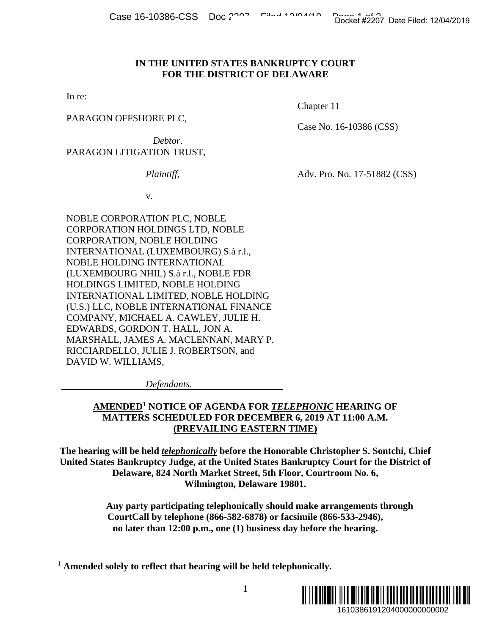### **IN THE UNITED STATES BANKRUPTCY COURT FOR THE DISTRICT OF DELAWARE**

In re:

PARAGON OFFSHORE PLC,

*Debtor*.

PARAGON LITIGATION TRUST,

 *Plaintiff*,

v.

NOBLE CORPORATION PLC, NOBLE CORPORATION HOLDINGS LTD, NOBLE CORPORATION, NOBLE HOLDING INTERNATIONAL (LUXEMBOURG) S.à r.l., NOBLE HOLDING INTERNATIONAL (LUXEMBOURG NHIL) S.à r.l., NOBLE FDR HOLDINGS LIMITED, NOBLE HOLDING INTERNATIONAL LIMITED, NOBLE HOLDING (U.S.) LLC, NOBLE INTERNATIONAL FINANCE COMPANY, MICHAEL A. CAWLEY, JULIE H. EDWARDS, GORDON T. HALL, JON A. MARSHALL, JAMES A. MACLENNAN, MARY P. RICCIARDELLO, JULIE J. ROBERTSON, and DAVID W. WILLIAMS,

Chapter 11

Case No. 16-10386 (CSS)

Adv. Pro. No. 17-51882 (CSS)

*Defendants*.

# **AMENDED1 NOTICE OF AGENDA FOR** *TELEPHONIC* **HEARING OF MATTERS SCHEDULED FOR DECEMBER 6, 2019 AT 11:00 A.M. (PREVAILING EASTERN TIME)**

**The hearing will be held** *telephonically* **before the Honorable Christopher S. Sontchi, Chief United States Bankruptcy Judge, at the United States Bankruptcy Court for the District of Delaware, 824 North Market Street, 5th Floor, Courtroom No. 6, Wilmington, Delaware 19801.**  1610386191204000000000002 Docket #2207 Date Filed: 12/04/2019

**Any party participating telephonically should make arrangements through CourtCall by telephone (866-582-6878) or facsimile (866-533-2946), no later than 12:00 p.m., one (1) business day before the hearing.**

 $\overline{a}$ <sup>1</sup> **Amended solely to reflect that hearing will be held telephonically.**

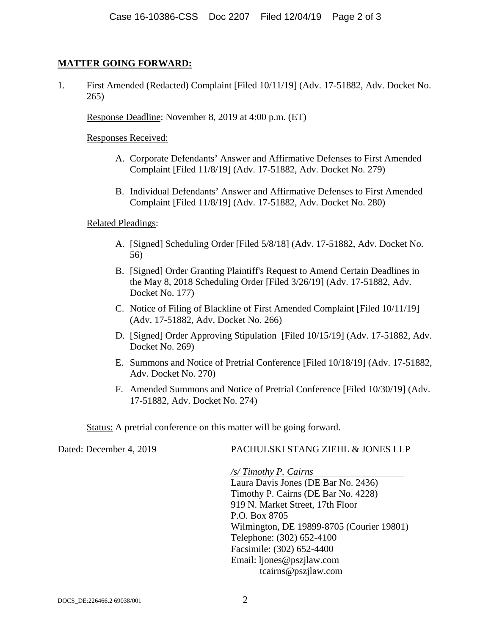## **MATTER GOING FORWARD:**

1. First Amended (Redacted) Complaint [Filed 10/11/19] (Adv. 17-51882, Adv. Docket No. 265)

Response Deadline: November 8, 2019 at 4:00 p.m. (ET)

Responses Received:

- A. Corporate Defendants' Answer and Affirmative Defenses to First Amended Complaint [Filed 11/8/19] (Adv. 17-51882, Adv. Docket No. 279)
- B. Individual Defendants' Answer and Affirmative Defenses to First Amended Complaint [Filed 11/8/19] (Adv. 17-51882, Adv. Docket No. 280)

### Related Pleadings:

- A. [Signed] Scheduling Order [Filed 5/8/18] (Adv. 17-51882, Adv. Docket No. 56)
- B. [Signed] Order Granting Plaintiff's Request to Amend Certain Deadlines in the May 8, 2018 Scheduling Order [Filed 3/26/19] (Adv. 17-51882, Adv. Docket No. 177)
- C. Notice of Filing of Blackline of First Amended Complaint [Filed 10/11/19] (Adv. 17-51882, Adv. Docket No. 266)
- D. [Signed] Order Approving Stipulation [Filed 10/15/19] (Adv. 17-51882, Adv. Docket No. 269)
- E. Summons and Notice of Pretrial Conference [Filed 10/18/19] (Adv. 17-51882, Adv. Docket No. 270)
- F. Amended Summons and Notice of Pretrial Conference [Filed 10/30/19] (Adv. 17-51882, Adv. Docket No. 274)

Status: A pretrial conference on this matter will be going forward.

### Dated: December 4, 2019 PACHULSKI STANG ZIEHL & JONES LLP

*/s/ Timothy P. Cairns*  Laura Davis Jones (DE Bar No. 2436) Timothy P. Cairns (DE Bar No. 4228) 919 N. Market Street, 17th Floor P.O. Box 8705 Wilmington, DE 19899-8705 (Courier 19801) Telephone: (302) 652-4100 Facsimile: (302) 652-4400 Email: ljones@pszjlaw.com tcairns@pszjlaw.com